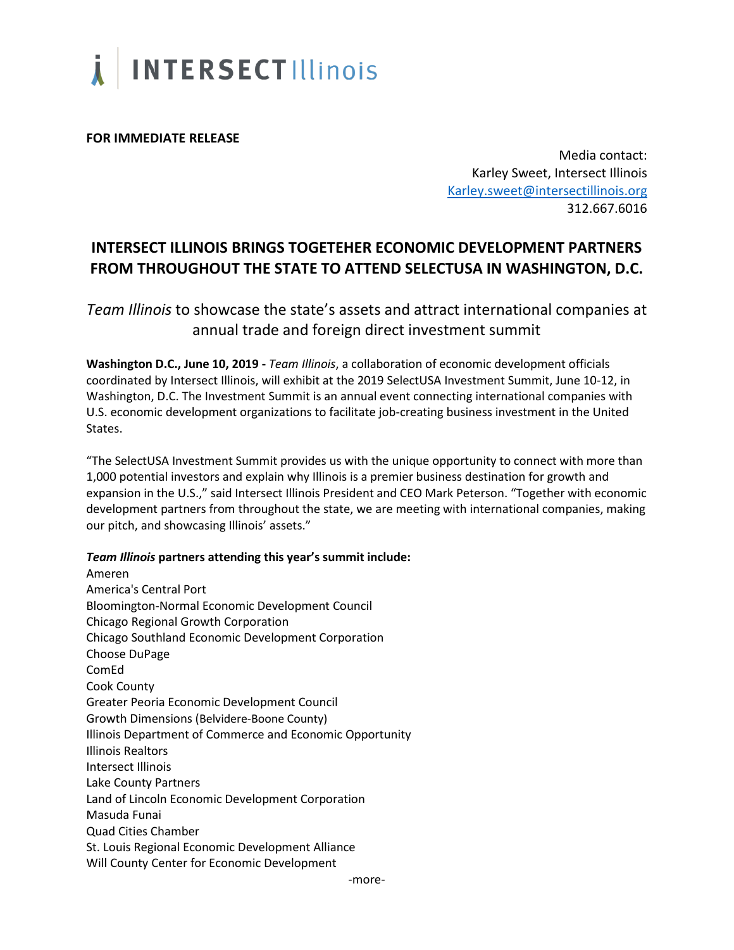

**FOR IMMEDIATE RELEASE**

Media contact: Karley Sweet, Intersect Illinois [Karley.sweet@intersectillinois.org](mailto:Karley.sweet@intersectillinois.org) 312.667.6016

## **INTERSECT ILLINOIS BRINGS TOGETEHER ECONOMIC DEVELOPMENT PARTNERS FROM THROUGHOUT THE STATE TO ATTEND SELECTUSA IN WASHINGTON, D.C.**

*Team Illinois* to showcase the state's assets and attract international companies at annual trade and foreign direct investment summit

**Washington D.C., June 10, 2019 -** *Team Illinois*, a collaboration of economic development officials coordinated by Intersect Illinois, will exhibit at the 2019 SelectUSA Investment Summit, June 10-12, in Washington, D.C. The Investment Summit is an annual event connecting international companies with U.S. economic development organizations to facilitate job-creating business investment in the United States.

"The SelectUSA Investment Summit provides us with the unique opportunity to connect with more than 1,000 potential investors and explain why Illinois is a premier business destination for growth and expansion in the U.S.," said Intersect Illinois President and CEO Mark Peterson. "Together with economic development partners from throughout the state, we are meeting with international companies, making our pitch, and showcasing Illinois' assets."

## *Team Illinois* **partners attending this year's summit include:**

Ameren America's Central Port Bloomington-Normal Economic Development Council Chicago Regional Growth Corporation Chicago Southland Economic Development Corporation Choose DuPage ComEd Cook County Greater Peoria Economic Development Council Growth Dimensions (Belvidere-Boone County) Illinois Department of Commerce and Economic Opportunity Illinois Realtors Intersect Illinois Lake County Partners Land of Lincoln Economic Development Corporation Masuda Funai Quad Cities Chamber St. Louis Regional Economic Development Alliance Will County Center for Economic Development